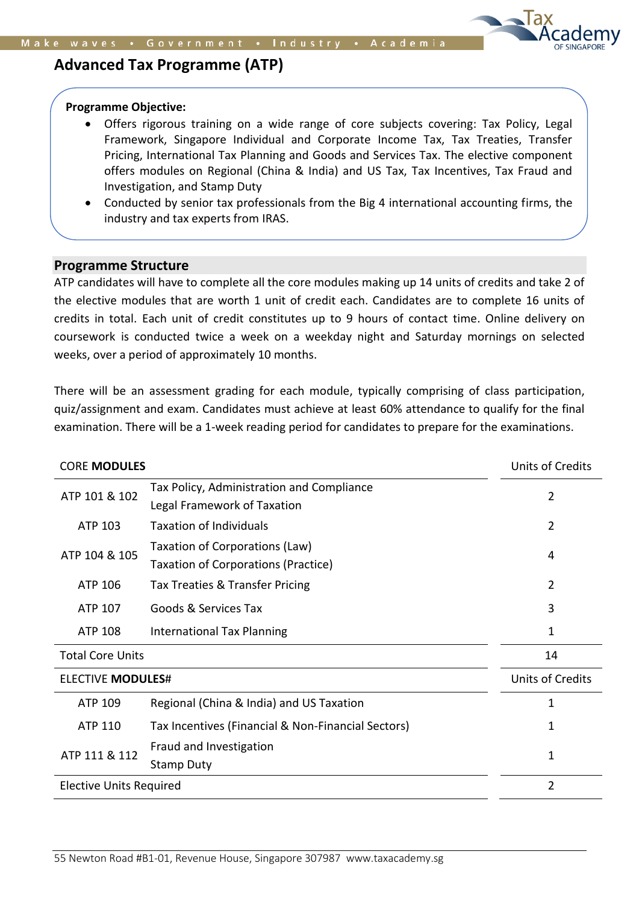

# **Advanced Tax Programme (ATP)**

#### **Programme Objective:**

- Offers rigorous training on a wide range of core subjects covering: Tax Policy, Legal Framework, Singapore Individual and Corporate Income Tax, Tax Treaties, Transfer Pricing, International Tax Planning and Goods and Services Tax. The elective component offers modules on Regional (China & India) and US Tax, Tax Incentives, Tax Fraud and Investigation, and Stamp Duty
- Conducted by senior tax professionals from the Big 4 international accounting firms, the industry and tax experts from IRAS.

## **Programme Structure** • **Programme is recommended for participants with little or no knowledge in GSTTTT**

ATP candidates will have to complete all the core modules making up 14 units of credits and take 2 of the elective modules that are worth 1 unit of credit each. Candidates are to complete 16 units of credits in total. Each unit of credit constitutes up to 9 hours of contact time. Online delivery on coursework is conducted twice a week on a weekday night and Saturday mornings on selected weeks, over a period of approximately 10 months.

There will be an assessment grading for each module, typically comprising of class participation, quiz/assignment and exam. Candidates must achieve at least 60% attendance to qualify for the final examination. There will be a 1-week reading period for candidates to prepare for the examinations.

| <b>CORE MODULES</b>            |                                                                              | Units of Credits        |
|--------------------------------|------------------------------------------------------------------------------|-------------------------|
| ATP 101 & 102                  | Tax Policy, Administration and Compliance<br>Legal Framework of Taxation     | 2                       |
| ATP 103                        | <b>Taxation of Individuals</b>                                               | $\overline{2}$          |
| ATP 104 & 105                  | Taxation of Corporations (Law)<br><b>Taxation of Corporations (Practice)</b> | 4                       |
| ATP 106                        | Tax Treaties & Transfer Pricing                                              | $\overline{2}$          |
| ATP 107                        | Goods & Services Tax                                                         | 3                       |
| ATP 108                        | <b>International Tax Planning</b>                                            | 1                       |
| <b>Total Core Units</b>        |                                                                              | 14                      |
| <b>ELECTIVE MODULES#</b>       |                                                                              | <b>Units of Credits</b> |
| ATP 109                        | Regional (China & India) and US Taxation                                     | 1                       |
| ATP 110                        | Tax Incentives (Financial & Non-Financial Sectors)                           | 1                       |
| ATP 111 & 112                  | Fraud and Investigation<br><b>Stamp Duty</b>                                 | 1                       |
| <b>Elective Units Required</b> |                                                                              | $\overline{2}$          |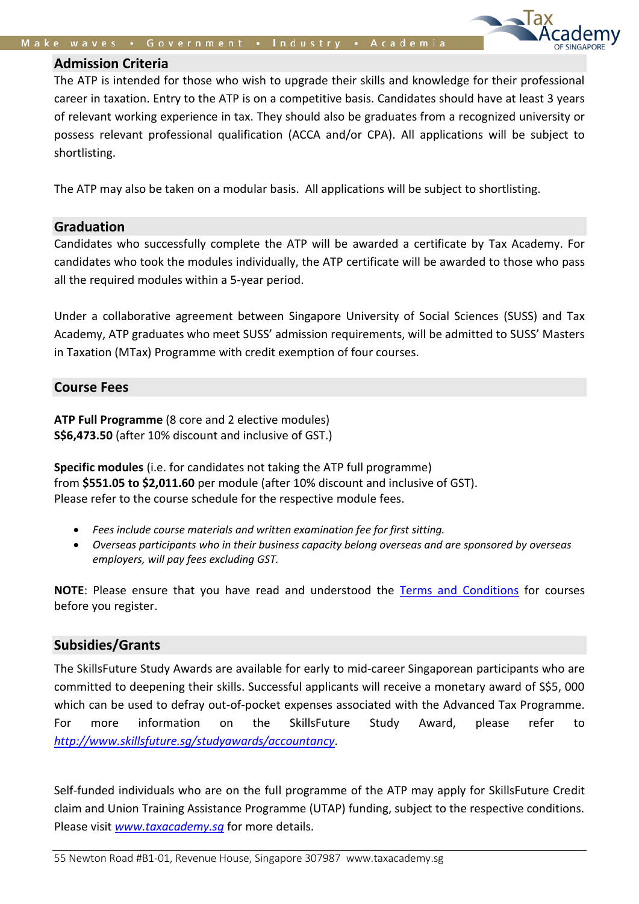#### **Admission Criteria**

The ATP is intended for those who wish to upgrade their skills and knowledge for their professional career in taxation. Entry to the ATP is on a competitive basis. Candidates should have at least 3 years of relevant working experience in tax. They should also be graduates from a recognized university or possess relevant professional qualification (ACCA and/or CPA). All applications will be subject to shortlisting.

The ATP may also be taken on a modular basis. All applications will be subject to shortlisting.

## **Graduation**

Candidates who successfully complete the ATP will be awarded a certificate by Tax Academy. For candidates who took the modules individually, the ATP certificate will be awarded to those who pass all the required modules within a 5-year period.

Under a collaborative agreement between Singapore University of Social Sciences (SUSS) and Tax Academy, ATP graduates who meet SUSS' admission requirements, will be admitted to SUSS' Masters in Taxation (MTax) Programme with credit exemption of four courses.

## **Course Fees**

**ATP Full Programme** (8 core and 2 elective modules) **S\$6,473.50** (after 10% discount and inclusive of GST.)

**Specific modules** (i.e. for candidates not taking the ATP full programme) from **\$551.05 to \$2,011.60** per module (after 10% discount and inclusive of GST). Please refer to the course schedule for the respective module fees.

- *Fees include course materials and written examination fee for first sitting.*
- *Overseas participants who in their business capacity belong overseas and are sponsored by overseas employers, will pay fees excluding GST.*

**NOTE**: Please ensure that you have read and understood the [Terms and Conditions](https://www.taxacademy.sg/documents/Terms_and_Conditions_for_courses_v3.0.pdf) for courses before you register.

## **Subsidies/Grants**

The SkillsFuture Study Awards are available for early to mid-career Singaporean participants who are committed to deepening their skills. Successful applicants will receive a monetary award of S\$5, 000 which can be used to defray out-of-pocket expenses associated with the Advanced Tax Programme. For more information on the SkillsFuture Study Award, please refer to *<http://www.skillsfuture.sg/studyawards/accountancy>*.

Self-funded individuals who are on the full programme of the ATP may apply for SkillsFuture Credit claim and Union Training Assistance Programme (UTAP) funding, subject to the respective conditions. Please visit *[www.taxacademy.sg](http://www.taxacademy.sg/)* for more details.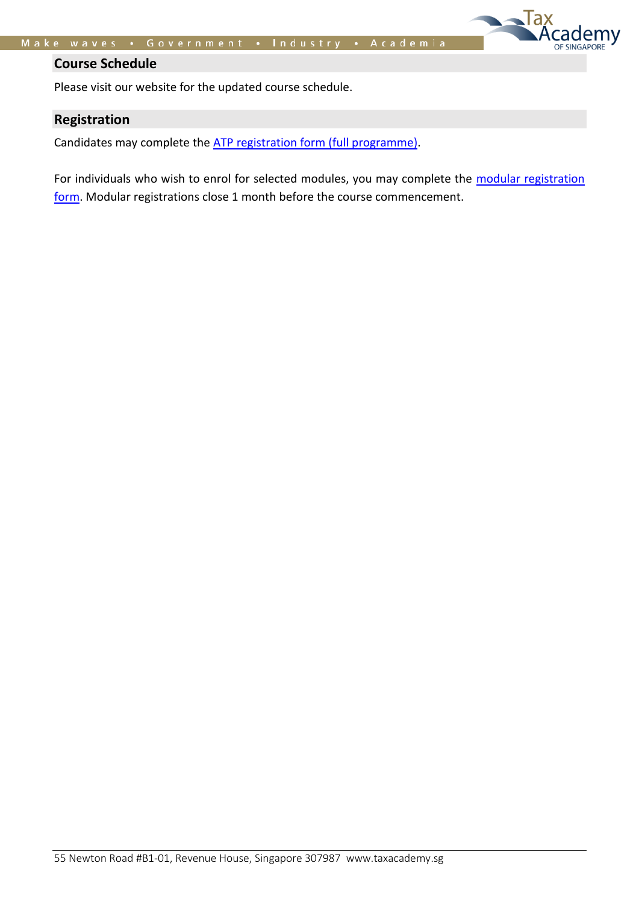Tax

SINGAPORE

## **Course Schedule**

Please visit our website for the updated course schedule.

## **Registration**

Candidates may complete the [ATP registration form \(full programme\).](https://form.gov.sg/61e17addbdbbe60012a7afcd)

For individuals who wish to enrol for selected modules, you may complete the modular registration [form.](https://form.gov.sg/61ea54e967949600147c4375) Modular registrations close 1 month before the course commencement.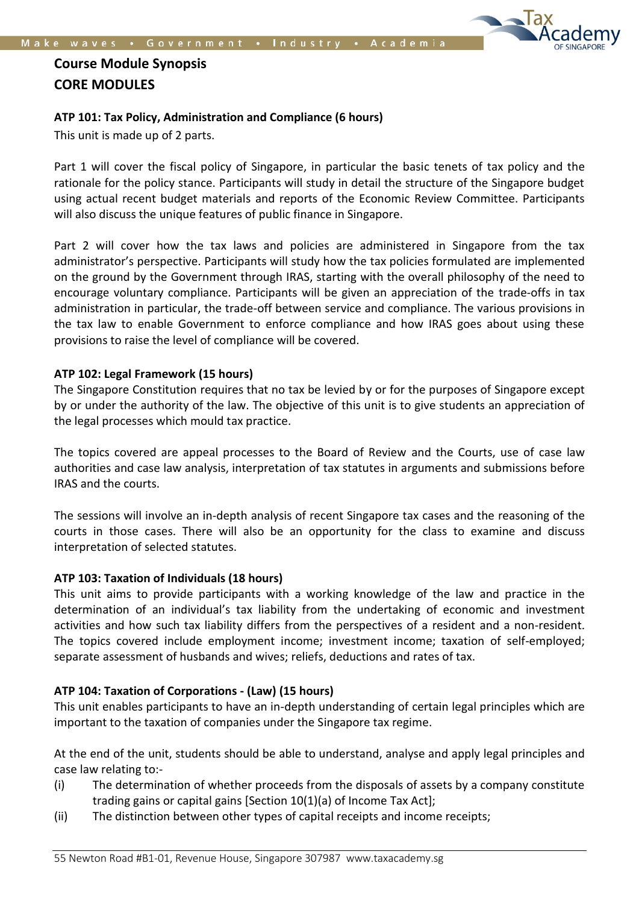

# **Course Module Synopsis CORE MODULES**

## **ATP 101: Tax Policy, Administration and Compliance (6 hours)**

This unit is made up of 2 parts.

Part 1 will cover the fiscal policy of Singapore, in particular the basic tenets of tax policy and the rationale for the policy stance. Participants will study in detail the structure of the Singapore budget using actual recent budget materials and reports of the Economic Review Committee. Participants will also discuss the unique features of public finance in Singapore.

Part 2 will cover how the tax laws and policies are administered in Singapore from the tax administrator's perspective. Participants will study how the tax policies formulated are implemented on the ground by the Government through IRAS, starting with the overall philosophy of the need to encourage voluntary compliance. Participants will be given an appreciation of the trade-offs in tax administration in particular, the trade-off between service and compliance. The various provisions in the tax law to enable Government to enforce compliance and how IRAS goes about using these provisions to raise the level of compliance will be covered.

#### **ATP 102: Legal Framework (15 hours)**

The Singapore Constitution requires that no tax be levied by or for the purposes of Singapore except by or under the authority of the law. The objective of this unit is to give students an appreciation of the legal processes which mould tax practice.

The topics covered are appeal processes to the Board of Review and the Courts, use of case law authorities and case law analysis, interpretation of tax statutes in arguments and submissions before IRAS and the courts.

The sessions will involve an in-depth analysis of recent Singapore tax cases and the reasoning of the courts in those cases. There will also be an opportunity for the class to examine and discuss interpretation of selected statutes.

#### **ATP 103: Taxation of Individuals (18 hours)**

This unit aims to provide participants with a working knowledge of the law and practice in the determination of an individual's tax liability from the undertaking of economic and investment activities and how such tax liability differs from the perspectives of a resident and a non-resident. The topics covered include employment income; investment income; taxation of self-employed; separate assessment of husbands and wives; reliefs, deductions and rates of tax.

#### **ATP 104: Taxation of Corporations - (Law) (15 hours)**

This unit enables participants to have an in-depth understanding of certain legal principles which are important to the taxation of companies under the Singapore tax regime.

At the end of the unit, students should be able to understand, analyse and apply legal principles and case law relating to:-

- (i) The determination of whether proceeds from the disposals of assets by a company constitute trading gains or capital gains [Section 10(1)(a) of Income Tax Act];
- (ii) The distinction between other types of capital receipts and income receipts;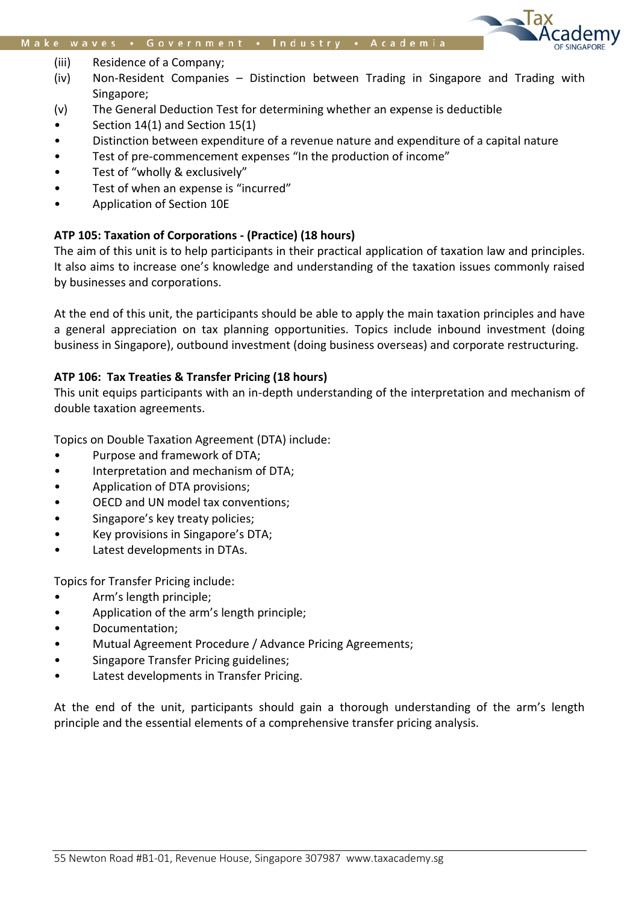

- (iii) Residence of a Company;
- (iv) Non-Resident Companies Distinction between Trading in Singapore and Trading with Singapore;
- (v) The General Deduction Test for determining whether an expense is deductible
- Section 14(1) and Section 15(1)
- Distinction between expenditure of a revenue nature and expenditure of a capital nature
- Test of pre-commencement expenses "In the production of income"
- Test of "wholly & exclusively"
- Test of when an expense is "incurred"
- Application of Section 10E

## **ATP 105: Taxation of Corporations - (Practice) (18 hours)**

The aim of this unit is to help participants in their practical application of taxation law and principles. It also aims to increase one's knowledge and understanding of the taxation issues commonly raised by businesses and corporations.

At the end of this unit, the participants should be able to apply the main taxation principles and have a general appreciation on tax planning opportunities. Topics include inbound investment (doing business in Singapore), outbound investment (doing business overseas) and corporate restructuring.

## **ATP 106: Tax Treaties & Transfer Pricing (18 hours)**

This unit equips participants with an in-depth understanding of the interpretation and mechanism of double taxation agreements.

Topics on Double Taxation Agreement (DTA) include:

- Purpose and framework of DTA;
- Interpretation and mechanism of DTA;
- Application of DTA provisions;
- OECD and UN model tax conventions;
- Singapore's key treaty policies;
- Key provisions in Singapore's DTA;
- Latest developments in DTAs.

Topics for Transfer Pricing include:

- Arm's length principle;
- Application of the arm's length principle;
- Documentation;
- Mutual Agreement Procedure / Advance Pricing Agreements;
- Singapore Transfer Pricing guidelines;
- Latest developments in Transfer Pricing.

At the end of the unit, participants should gain a thorough understanding of the arm's length principle and the essential elements of a comprehensive transfer pricing analysis.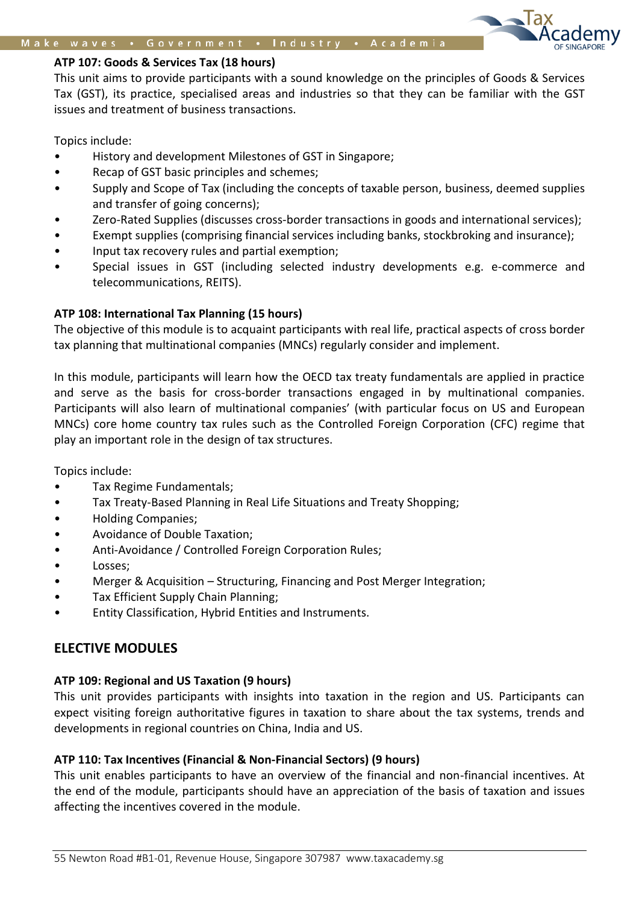#### **ATP 107: Goods & Services Tax (18 hours)**

This unit aims to provide participants with a sound knowledge on the principles of Goods & Services Tax (GST), its practice, specialised areas and industries so that they can be familiar with the GST issues and treatment of business transactions.

#### Topics include:

- History and development Milestones of GST in Singapore;
- Recap of GST basic principles and schemes;
- Supply and Scope of Tax (including the concepts of taxable person, business, deemed supplies and transfer of going concerns);
- Zero-Rated Supplies (discusses cross-border transactions in goods and international services);
- Exempt supplies (comprising financial services including banks, stockbroking and insurance);
- Input tax recovery rules and partial exemption;
- Special issues in GST (including selected industry developments e.g. e-commerce and telecommunications, REITS).

#### **ATP 108: International Tax Planning (15 hours)**

The objective of this module is to acquaint participants with real life, practical aspects of cross border tax planning that multinational companies (MNCs) regularly consider and implement.

In this module, participants will learn how the OECD tax treaty fundamentals are applied in practice and serve as the basis for cross-border transactions engaged in by multinational companies. Participants will also learn of multinational companies' (with particular focus on US and European MNCs) core home country tax rules such as the Controlled Foreign Corporation (CFC) regime that play an important role in the design of tax structures.

Topics include:

- Tax Regime Fundamentals;
- Tax Treaty-Based Planning in Real Life Situations and Treaty Shopping;
- Holding Companies;
- Avoidance of Double Taxation;
- Anti-Avoidance / Controlled Foreign Corporation Rules;
- Losses;
- Merger & Acquisition Structuring, Financing and Post Merger Integration;
- Tax Efficient Supply Chain Planning;
- Entity Classification, Hybrid Entities and Instruments.

## **ELECTIVE MODULES**

#### **ATP 109: Regional and US Taxation (9 hours)**

This unit provides participants with insights into taxation in the region and US. Participants can expect visiting foreign authoritative figures in taxation to share about the tax systems, trends and developments in regional countries on China, India and US.

#### **ATP 110: Tax Incentives (Financial & Non-Financial Sectors) (9 hours)**

This unit enables participants to have an overview of the financial and non-financial incentives. At the end of the module, participants should have an appreciation of the basis of taxation and issues affecting the incentives covered in the module.